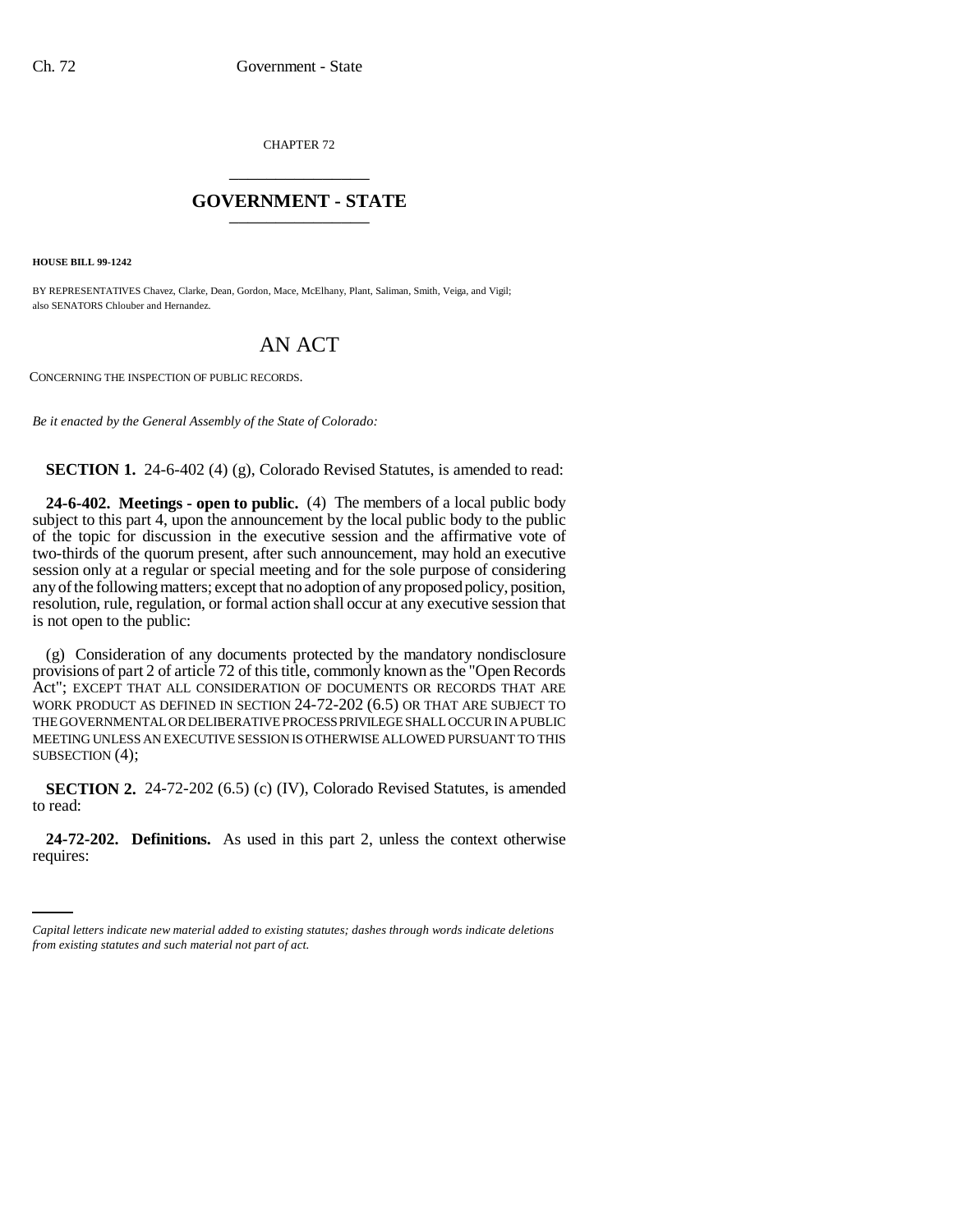CHAPTER 72 \_\_\_\_\_\_\_\_\_\_\_\_\_\_\_

## **GOVERNMENT - STATE** \_\_\_\_\_\_\_\_\_\_\_\_\_\_\_

**HOUSE BILL 99-1242** 

BY REPRESENTATIVES Chavez, Clarke, Dean, Gordon, Mace, McElhany, Plant, Saliman, Smith, Veiga, and Vigil; also SENATORS Chlouber and Hernandez.

## AN ACT

CONCERNING THE INSPECTION OF PUBLIC RECORDS.

*Be it enacted by the General Assembly of the State of Colorado:*

**SECTION 1.** 24-6-402 (4) (g), Colorado Revised Statutes, is amended to read:

**24-6-402. Meetings - open to public.** (4) The members of a local public body subject to this part 4, upon the announcement by the local public body to the public of the topic for discussion in the executive session and the affirmative vote of two-thirds of the quorum present, after such announcement, may hold an executive session only at a regular or special meeting and for the sole purpose of considering any of the following matters; except that no adoption of any proposed policy, position, resolution, rule, regulation, or formal action shall occur at any executive session that is not open to the public:

(g) Consideration of any documents protected by the mandatory nondisclosure provisions of part 2 of article 72 of this title, commonly known as the "Open Records Act"; EXCEPT THAT ALL CONSIDERATION OF DOCUMENTS OR RECORDS THAT ARE WORK PRODUCT AS DEFINED IN SECTION 24-72-202 (6.5) OR THAT ARE SUBJECT TO THE GOVERNMENTAL OR DELIBERATIVE PROCESS PRIVILEGE SHALL OCCUR IN A PUBLIC MEETING UNLESS AN EXECUTIVE SESSION IS OTHERWISE ALLOWED PURSUANT TO THIS SUBSECTION (4);

**SECTION 2.** 24-72-202 (6.5) (c) (IV), Colorado Revised Statutes, is amended to read:

 **24-72-202. Definitions.** As used in this part 2, unless the context otherwise requires:

*Capital letters indicate new material added to existing statutes; dashes through words indicate deletions from existing statutes and such material not part of act.*